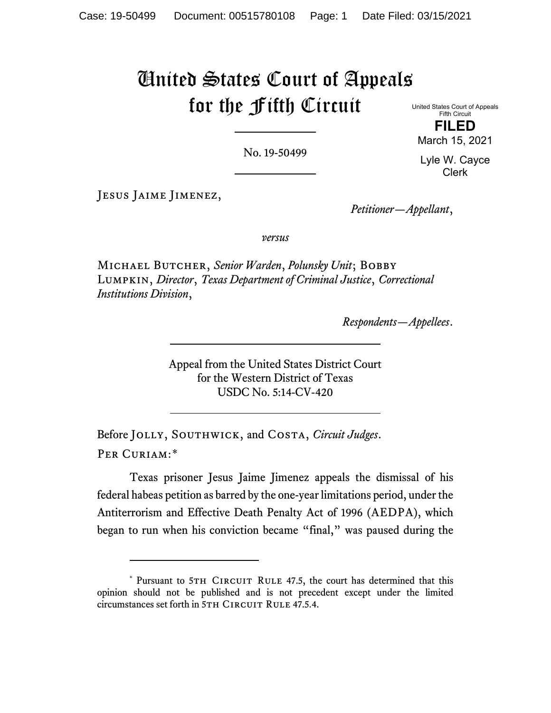# United States Court of Appeals for the Fifth Circuit

United States Court of Appeals Fifth Circuit **FILED**

March 15, 2021

No. 19-50499

Lyle W. Cayce Clerk

Jesus Jaime Jimenez,

*Petitioner—Appellant*,

*versus*

Michael Butcher, *Senior Warden*, *Polunsky Unit*; Bobby Lumpkin, *Director*, *Texas Department of Criminal Justice*, *Correctional Institutions Division*,

*Respondents—Appellees*.

Appeal from the United States District Court for the Western District of Texas USDC No. 5:14-CV-420

Before Jolly, Southwick, and Costa, *Circuit Judges*. Per Curiam:[\\*](#page-0-0)

Texas prisoner Jesus Jaime Jimenez appeals the dismissal of his federal habeas petition as barred by the one-year limitations period, under the Antiterrorism and Effective Death Penalty Act of 1996 (AEDPA), which began to run when his conviction became "final," was paused during the

<span id="page-0-0"></span><sup>\*</sup> Pursuant to 5TH CIRCUIT RULE 47.5, the court has determined that this opinion should not be published and is not precedent except under the limited circumstances set forth in 5TH CIRCUIT RULE 47.5.4.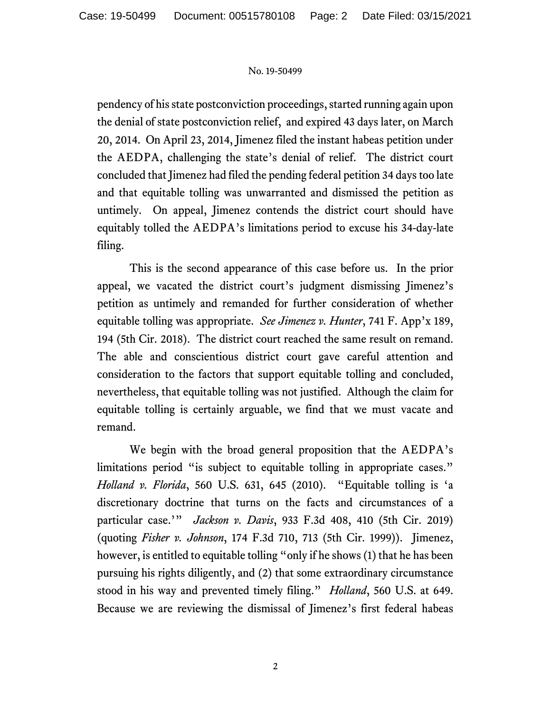pendency of his state postconviction proceedings, started running again upon the denial of state postconviction relief, and expired 43 days later, on March 20, 2014. On April 23, 2014, Jimenez filed the instant habeas petition under the AEDPA, challenging the state's denial of relief. The district court concluded that Jimenez had filed the pending federal petition 34 days too late and that equitable tolling was unwarranted and dismissed the petition as untimely. On appeal, Jimenez contends the district court should have equitably tolled the AEDPA's limitations period to excuse his 34-day-late filing.

This is the second appearance of this case before us. In the prior appeal, we vacated the district court's judgment dismissing Jimenez's petition as untimely and remanded for further consideration of whether equitable tolling was appropriate. *See Jimenez v. Hunter*, 741 F. App'x 189, 194 (5th Cir. 2018). The district court reached the same result on remand. The able and conscientious district court gave careful attention and consideration to the factors that support equitable tolling and concluded, nevertheless, that equitable tolling was not justified. Although the claim for equitable tolling is certainly arguable, we find that we must vacate and remand.

We begin with the broad general proposition that the AEDPA's limitations period "is subject to equitable tolling in appropriate cases." *Holland v. Florida*, 560 U.S. 631, 645 (2010). "Equitable tolling is 'a discretionary doctrine that turns on the facts and circumstances of a particular case.'" *Jackson v. Davis*, 933 F.3d 408, 410 (5th Cir. 2019) (quoting *Fisher v. Johnson*, 174 F.3d 710, 713 (5th Cir. 1999)). Jimenez, however, is entitled to equitable tolling "only if he shows (1) that he has been pursuing his rights diligently, and (2) that some extraordinary circumstance stood in his way and prevented timely filing." *Holland*, 560 U.S. at 649. Because we are reviewing the dismissal of Jimenez's first federal habeas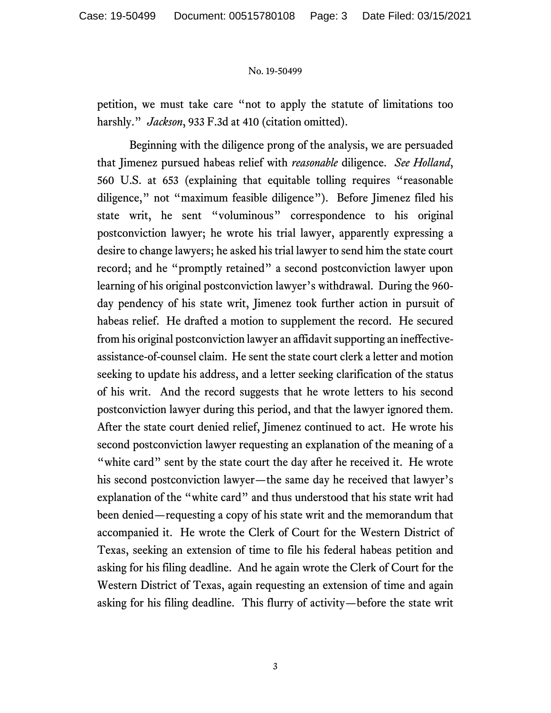petition, we must take care "not to apply the statute of limitations too harshly." *Jackson*, 933 F.3d at 410 (citation omitted).

Beginning with the diligence prong of the analysis, we are persuaded that Jimenez pursued habeas relief with *reasonable* diligence. *See Holland*, 560 U.S. at 653 (explaining that equitable tolling requires "reasonable diligence," not "maximum feasible diligence"). Before Jimenez filed his state writ, he sent "voluminous" correspondence to his original postconviction lawyer; he wrote his trial lawyer, apparently expressing a desire to change lawyers; he asked his trial lawyer to send him the state court record; and he "promptly retained" a second postconviction lawyer upon learning of his original postconviction lawyer's withdrawal. During the 960 day pendency of his state writ, Jimenez took further action in pursuit of habeas relief. He drafted a motion to supplement the record. He secured from his original postconviction lawyer an affidavit supporting an ineffectiveassistance-of-counsel claim. He sent the state court clerk a letter and motion seeking to update his address, and a letter seeking clarification of the status of his writ. And the record suggests that he wrote letters to his second postconviction lawyer during this period, and that the lawyer ignored them. After the state court denied relief, Jimenez continued to act. He wrote his second postconviction lawyer requesting an explanation of the meaning of a "white card" sent by the state court the day after he received it. He wrote his second postconviction lawyer—the same day he received that lawyer's explanation of the "white card" and thus understood that his state writ had been denied—requesting a copy of his state writ and the memorandum that accompanied it. He wrote the Clerk of Court for the Western District of Texas, seeking an extension of time to file his federal habeas petition and asking for his filing deadline. And he again wrote the Clerk of Court for the Western District of Texas, again requesting an extension of time and again asking for his filing deadline. This flurry of activity—before the state writ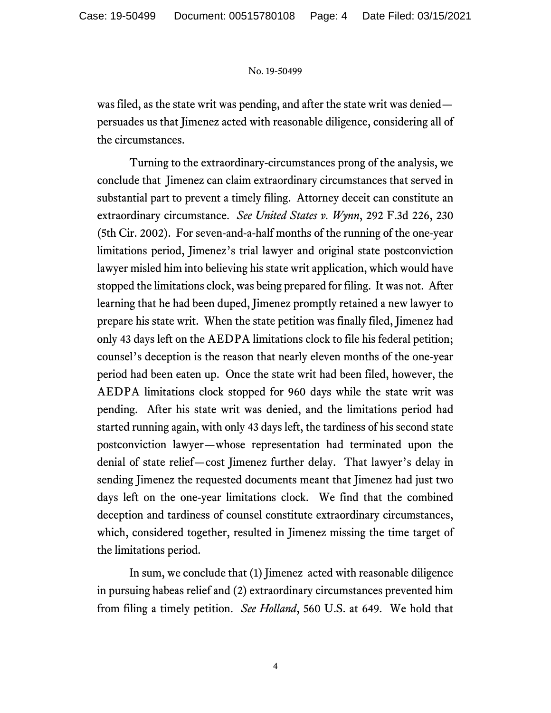was filed, as the state writ was pending, and after the state writ was denied persuades us that Jimenez acted with reasonable diligence, considering all of the circumstances.

Turning to the extraordinary-circumstances prong of the analysis, we conclude that Jimenez can claim extraordinary circumstances that served in substantial part to prevent a timely filing. Attorney deceit can constitute an extraordinary circumstance. *See United States v. Wynn*, 292 F.3d 226, 230 (5th Cir. 2002). For seven-and-a-half months of the running of the one-year limitations period, Jimenez's trial lawyer and original state postconviction lawyer misled him into believing his state writ application, which would have stopped the limitations clock, was being prepared for filing. It was not. After learning that he had been duped, Jimenez promptly retained a new lawyer to prepare his state writ. When the state petition was finally filed, Jimenez had only 43 days left on the AEDPA limitations clock to file his federal petition; counsel's deception is the reason that nearly eleven months of the one-year period had been eaten up. Once the state writ had been filed, however, the AEDPA limitations clock stopped for 960 days while the state writ was pending. After his state writ was denied, and the limitations period had started running again, with only 43 days left, the tardiness of his second state postconviction lawyer—whose representation had terminated upon the denial of state relief—cost Jimenez further delay. That lawyer's delay in sending Jimenez the requested documents meant that Jimenez had just two days left on the one-year limitations clock. We find that the combined deception and tardiness of counsel constitute extraordinary circumstances, which, considered together, resulted in Jimenez missing the time target of the limitations period.

In sum, we conclude that (1) Jimenez acted with reasonable diligence in pursuing habeas relief and (2) extraordinary circumstances prevented him from filing a timely petition. *See Holland*, 560 U.S. at 649. We hold that